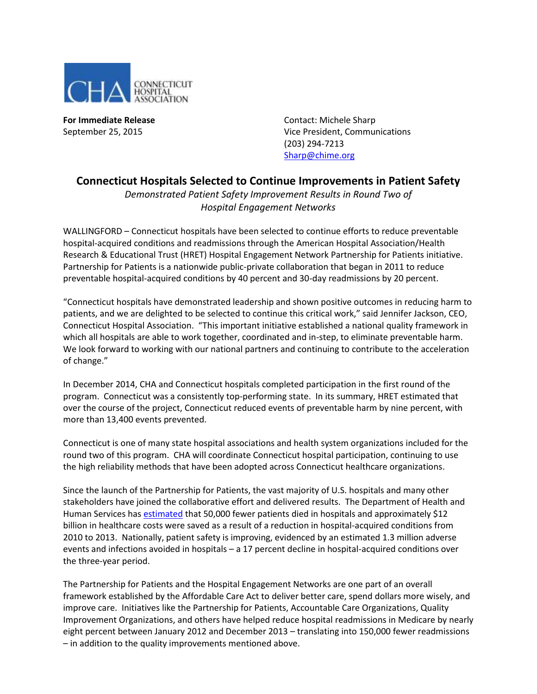

**For Immediate Release Contact: Michele Sharp** September 25, 2015 Vice President, Communications (203) 294-7213 [Sharp@chime.org](mailto:Sharp@chime.org)

## **Connecticut Hospitals Selected to Continue Improvements in Patient Safety**

*Demonstrated Patient Safety Improvement Results in Round Two of Hospital Engagement Networks*

WALLINGFORD – Connecticut hospitals have been selected to continue efforts to reduce preventable hospital-acquired conditions and readmissions through the American Hospital Association/Health Research & Educational Trust (HRET) Hospital Engagement Network Partnership for Patients initiative. Partnership for Patients is a nationwide public-private collaboration that began in 2011 to reduce preventable hospital-acquired conditions by 40 percent and 30-day readmissions by 20 percent.

"Connecticut hospitals have demonstrated leadership and shown positive outcomes in reducing harm to patients, and we are delighted to be selected to continue this critical work," said Jennifer Jackson, CEO, Connecticut Hospital Association. "This important initiative established a national quality framework in which all hospitals are able to work together, coordinated and in-step, to eliminate preventable harm. We look forward to working with our national partners and continuing to contribute to the acceleration of change."

In December 2014, CHA and Connecticut hospitals completed participation in the first round of the program. Connecticut was a consistently top-performing state. In its summary, HRET estimated that over the course of the project, Connecticut reduced events of preventable harm by nine percent, with more than 13,400 events prevented.

Connecticut is one of many state hospital associations and health system organizations included for the round two of this program. CHA will coordinate Connecticut hospital participation, continuing to use the high reliability methods that have been adopted across Connecticut healthcare organizations.

Since the launch of the Partnership for Patients, the vast majority of U.S. hospitals and many other stakeholders have joined the collaborative effort and delivered results. The Department of Health and Human Services ha[s estimated](http://www.hhs.gov/news/press/2014pres/12/20141202a.html) that 50,000 fewer patients died in hospitals and approximately \$12 billion in healthcare costs were saved as a result of a reduction in hospital-acquired conditions from 2010 to 2013. Nationally, patient safety is improving, evidenced by an estimated 1.3 million adverse events and infections avoided in hospitals – a 17 percent decline in hospital-acquired conditions over the three-year period.

The Partnership for Patients and the Hospital Engagement Networks are one part of an overall framework established by the Affordable Care Act to deliver better care, spend dollars more wisely, and improve care. Initiatives like the Partnership for Patients, Accountable Care Organizations, Quality Improvement Organizations, and others have helped reduce hospital readmissions in Medicare by nearly eight percent between January 2012 and December 2013 – translating into 150,000 fewer readmissions – in addition to the quality improvements mentioned above.